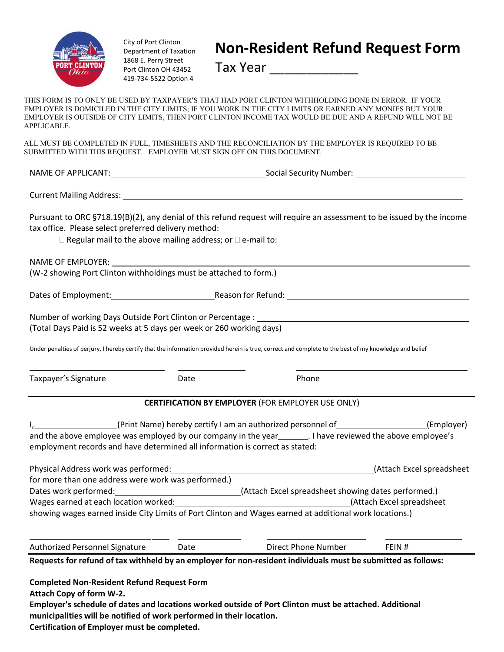

APPLICABLE.

City of Port Clinton Department of Taxation 1868 E. Perry Street Port Clinton OH 43452 419-734-5522 Option 4

Tax Year \_\_\_\_\_\_\_\_\_\_\_\_

THIS FORM IS TO ONLY BE USED BY TAXPAYER'S THAT HAD PORT CLINTON WITHHOLDING DONE IN ERROR. IF YOUR EMPLOYER IS DOMICILED IN THE CITY LIMITS; IF YOU WORK IN THE CITY LIMITS OR EARNED ANY MONIES BUT YOUR EMPLOYER IS OUTSIDE OF CITY LIMITS, THEN PORT CLINTON INCOME TAX WOULD BE DUE AND A REFUND WILL NOT BE

| SUBMITTED WITH THIS REQUEST. EMPLOYER MUST SIGN OFF ON THIS DOCUMENT. | ALL MUST BE COMPLETED IN FULL, TIMESHEETS AND THE RECONCILIATION BY THE EMPLOYER IS REQUIRED TO BE                                                     |
|-----------------------------------------------------------------------|--------------------------------------------------------------------------------------------------------------------------------------------------------|
|                                                                       |                                                                                                                                                        |
|                                                                       |                                                                                                                                                        |
| tax office. Please select preferred delivery method:                  | Pursuant to ORC §718.19(B)(2), any denial of this refund request will require an assessment to be issued by the income                                 |
| (W-2 showing Port Clinton withholdings must be attached to form.)     |                                                                                                                                                        |
|                                                                       |                                                                                                                                                        |
| (Total Days Paid is 52 weeks at 5 days per week or 260 working days)  | Number of working Days Outside Port Clinton or Percentage : _____________________                                                                      |
|                                                                       | Under penalties of perjury, I hereby certify that the information provided herein is true, correct and complete to the best of my knowledge and belief |

Taxpayer's Signature **Contract Contract Contract Contract Contract Contract Contract Contract Contract Contract Contract Contract Contract Contract Contract Contract Contract Contract Contract Contract Contract Contract Co** 

## **CERTIFICATION BY EMPLOYER** (FOR EMPLOYER USE ONLY)

|                                                                | (Print Name) hereby certify I am an authorized personnel of                  |                                        | (Employer) |
|----------------------------------------------------------------|------------------------------------------------------------------------------|----------------------------------------|------------|
| and the above employee was employed by our company in the year |                                                                              | . I have reviewed the above employee's |            |
|                                                                | employment records and have determined all information is correct as stated: |                                        |            |

| Physical Address work was performed:                                                                    | (Attach Excel spreadsheet                           |
|---------------------------------------------------------------------------------------------------------|-----------------------------------------------------|
| for more than one address were work was performed.)                                                     |                                                     |
| Dates work performed:                                                                                   | (Attach Excel spreadsheet showing dates performed.) |
| Wages earned at each location worked:                                                                   | (Attach Excel spreadsheet                           |
| showing wages earned inside City Limits of Port Clinton and Wages earned at additional work locations.) |                                                     |

| Authorized Personnel Signature | Direct Phone Number | ™L. |
|--------------------------------|---------------------|-----|
| $\sim$ $\sim$<br>.             | .<br>$\sim$ $\sim$  |     |

Requests for refund of tax withheld by an employer for non-resident individuals must be submitted as follows:

**Completed Non-Resident Refund Request Form**

**Attach Copy of form W-2.**

**Employer's schedule of dates and locations worked outside of Port Clinton must be attached. Additional municipalities will be notified of work performed in their location.**

**Certification of Employer must be completed.**